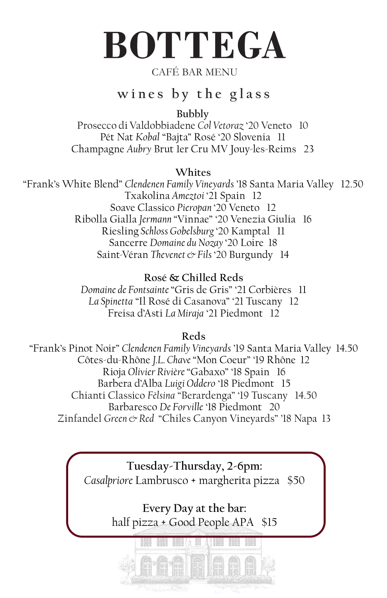# **BOTTEGA**

### CAFÉ BAR MENU

# **wines by the glass**

**Bubbly**

Prosecco di Valdobbiadene *Col Vetoraz* '20 Veneto 10 Pét Nat *Kobal* "Bajta" Rosé '20 Slovenia 11 Champagne *Aubry* Brut 1er Cru MV Jouy-les-Reims 23

#### **Whites**

"Frank's White Blend" *Clendenen Family Vineyards* '18 Santa Maria Valley 12.50 Txakolina *Ameztoi* '21 Spain 12 Soave Classico *Pieropan* '20 Veneto 12 Ribolla Gialla *Jermann* "Vinnae" '20 Venezia Giulia 16 Riesling *Schloss Gobelsburg* '20 Kamptal 11 Sancerre *Domaine du Nozay* '20 Loire 18 Saint-Véran *Thevenet & Fils* '20 Burgundy 14

#### **Rosé & Chilled Reds**

*Domaine de Fontsainte* "Gris de Gris" '21 Corbières 11 *La Spinetta* "Il Rosé di Casanova" '21 Tuscany 12 Freisa d'Asti *La Miraja* '21 Piedmont 12

#### **Reds**

"Frank's Pinot Noir" *Clendenen Family Vineyards* '19 Santa Maria Valley 14.50 Côtes-du-Rhône *J.L. Chave* "Mon Coeur" '19 Rhône 12 Rioja *Olivier Rivière* "Gabaxo" '18 Spain 16 Barbera d'Alba *Luigi Oddero* '18 Piedmont 15 Chianti Classico *Fèlsina* "Berardenga" '19 Tuscany 14.50 Barbaresco *De Forville* '18 Piedmont 20 Zinfandel *Green & Red* "Chiles Canyon Vineyards" '18 Napa 13

> **Tuesday-Thursday, 2-6pm:** *Casalpriore* Lambrusco + margherita pizza \$50

> > **Every Day at the bar:** half pizza + Good People APA \$15

> > > **THE REPORT OF STRAINING**